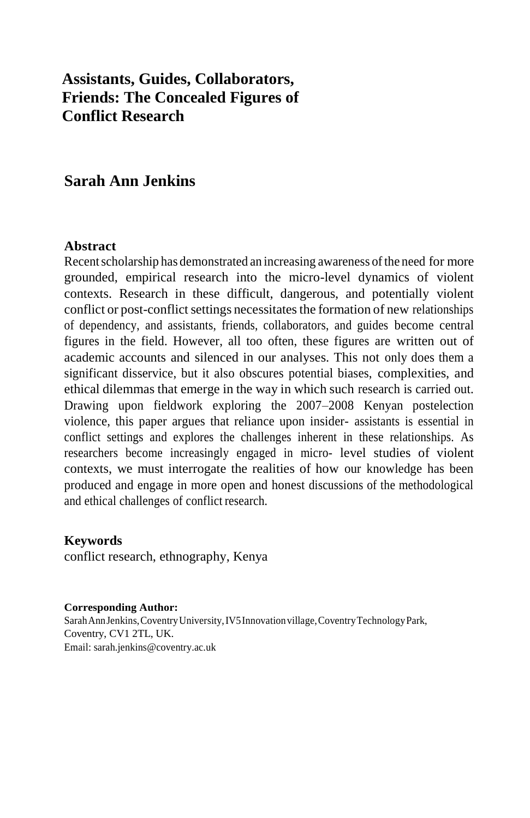## **Assistants, Guides, Collaborators, Friends: The Concealed Figures of Conflict Research**

### **Sarah Ann Jenkins**

#### **Abstract**

Recent scholarship has demonstrated an increasing awareness of the need for more grounded, empirical research into the micro-level dynamics of violent contexts. Research in these difficult, dangerous, and potentially violent conflict or post-conflict settings necessitates the formation of new relationships of dependency, and assistants, friends, collaborators, and guides become central figures in the field. However, all too often, these figures are written out of academic accounts and silenced in our analyses. This not only does them a significant disservice, but it also obscures potential biases, complexities, and ethical dilemmas that emerge in the way in which such research is carried out. Drawing upon fieldwork exploring the 2007–2008 Kenyan postelection violence, this paper argues that reliance upon insider- assistants is essential in conflict settings and explores the challenges inherent in these relationships. As researchers become increasingly engaged in micro- level studies of violent contexts, we must interrogate the realities of how our knowledge has been produced and engage in more open and honest discussions of the methodological and ethical challenges of conflict research.

### **Keywords**

conflict research, ethnography, Kenya

#### **Corresponding Author:**

SarahAnnJenkins,CoventryUniversity,IV5Innovationvillage,CoventryTechnologyPark, Coventry, CV1 2TL, UK. Email[: sarah.jenkins@coventry.ac.uk](mailto:sarah.jenkins@coventry.ac.uk)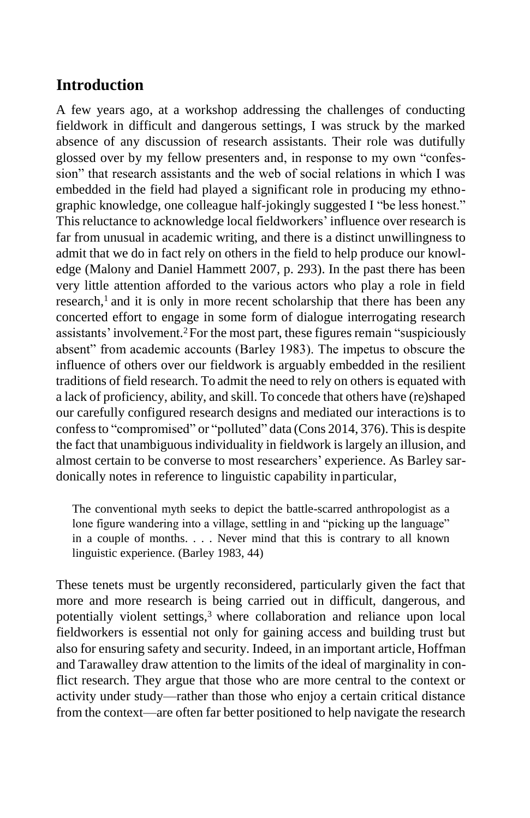## **Introduction**

A few years ago, at a workshop addressing the challenges of conducting fieldwork in difficult and dangerous settings, I was struck by the marked absence of any discussion of research assistants. Their role was dutifully glossed over by my fellow presenters and, in response to my own "confession" that research assistants and the web of social relations in which I was embedded in the field had played a significant role in producing my ethnographic knowledge, one colleague half-jokingly suggested I "be less honest." This reluctance to acknowledge local fieldworkers' influence over research is far from unusual in academic writing, and there is a distinct unwillingness to admit that we do in fact rely on others in the field to help produce our knowledge (Malony and Daniel Hammett 2007, p. 293). In the past there has been very little attention afforded to the various actors who play a role in field research,<sup>1</sup> and it is only in more recent scholarship that there has been any concerted effort to engage in some form of dialogue interrogating research assistants'involvement.<sup>2</sup>For the most part, these figures remain "suspiciously absent" from academic accounts (Barley 1983). The impetus to obscure the influence of others over our fieldwork is arguably embedded in the resilient traditions of field research. To admit the need to rely on others is equated with a lack of proficiency, ability, and skill. To concede that others have (re)shaped our carefully configured research designs and mediated our interactions is to confess to "compromised" or "polluted" data (Cons 2014, 376). This is despite the fact that unambiguous individuality in fieldwork islargely an illusion, and almost certain to be converse to most researchers' experience. As Barley sardonically notes in reference to linguistic capability inparticular,

The conventional myth seeks to depict the battle-scarred anthropologist as a lone figure wandering into a village, settling in and "picking up the language" in a couple of months. . . . Never mind that this is contrary to all known linguistic experience. (Barley 1983, 44)

These tenets must be urgently reconsidered, particularly given the fact that more and more research is being carried out in difficult, dangerous, and potentially violent settings,<sup>3</sup> where collaboration and reliance upon local fieldworkers is essential not only for gaining access and building trust but also for ensuring safety and security. Indeed, in an important article, Hoffman and Tarawalley draw attention to the limits of the ideal of marginality in conflict research. They argue that those who are more central to the context or activity under study—rather than those who enjoy a certain critical distance from the context—are often far better positioned to help navigate the research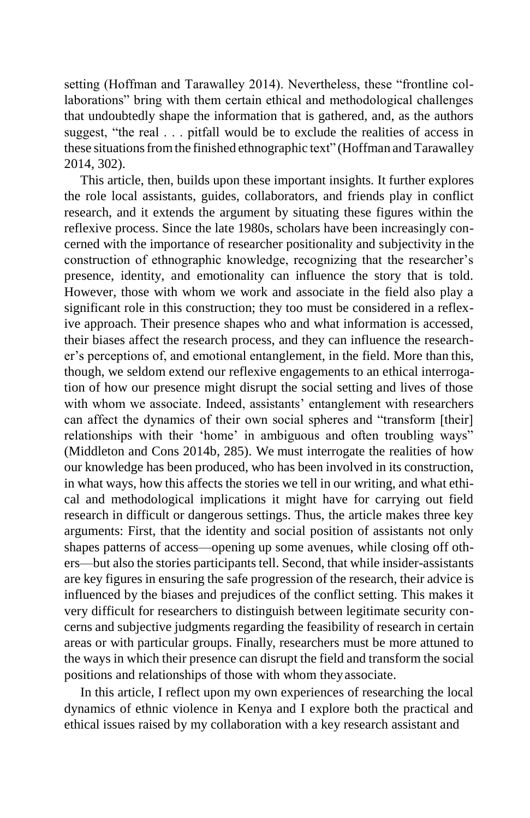setting (Hoffman and Tarawalley 2014). Nevertheless, these "frontline collaborations" bring with them certain ethical and methodological challenges that undoubtedly shape the information that is gathered, and, as the authors suggest, "the real . . . pitfall would be to exclude the realities of access in these situations from the finished ethnographic text" (Hoffman and Tarawalley 2014, 302).

This article, then, builds upon these important insights. It further explores the role local assistants, guides, collaborators, and friends play in conflict research, and it extends the argument by situating these figures within the reflexive process. Since the late 1980s, scholars have been increasingly concerned with the importance of researcher positionality and subjectivity in the construction of ethnographic knowledge, recognizing that the researcher's presence, identity, and emotionality can influence the story that is told. However, those with whom we work and associate in the field also play a significant role in this construction; they too must be considered in a reflexive approach. Their presence shapes who and what information is accessed, their biases affect the research process, and they can influence the researcher's perceptions of, and emotional entanglement, in the field. More than this, though, we seldom extend our reflexive engagements to an ethical interrogation of how our presence might disrupt the social setting and lives of those with whom we associate. Indeed, assistants' entanglement with researchers can affect the dynamics of their own social spheres and "transform [their] relationships with their 'home' in ambiguous and often troubling ways" (Middleton and Cons 2014b, 285). We must interrogate the realities of how our knowledge has been produced, who has been involved in its construction, in what ways, how this affects the stories we tell in our writing, and what ethical and methodological implications it might have for carrying out field research in difficult or dangerous settings. Thus, the article makes three key arguments: First, that the identity and social position of assistants not only shapes patterns of access—opening up some avenues, while closing off others—but also the stories participants tell. Second, that while insider-assistants are key figures in ensuring the safe progression of the research, their advice is influenced by the biases and prejudices of the conflict setting. This makes it very difficult for researchers to distinguish between legitimate security concerns and subjective judgments regarding the feasibility of research in certain areas or with particular groups. Finally, researchers must be more attuned to the ways in which their presence can disrupt the field and transform the social positions and relationships of those with whom they associate.

In this article, I reflect upon my own experiences of researching the local dynamics of ethnic violence in Kenya and I explore both the practical and ethical issues raised by my collaboration with a key research assistant and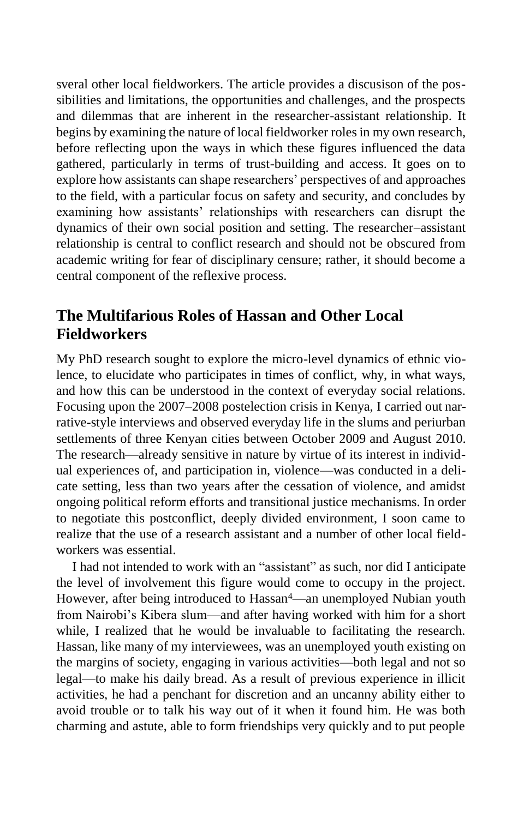sveral other local fieldworkers. The article provides a discusison of the possibilities and limitations, the opportunities and challenges, and the prospects and dilemmas that are inherent in the researcher-assistant relationship. It begins by examining the nature of local fieldworker rolesin my own research, before reflecting upon the ways in which these figures influenced the data gathered, particularly in terms of trust-building and access. It goes on to explore how assistants can shape researchers' perspectives of and approaches to the field, with a particular focus on safety and security, and concludes by examining how assistants' relationships with researchers can disrupt the dynamics of their own social position and setting. The researcher–assistant relationship is central to conflict research and should not be obscured from academic writing for fear of disciplinary censure; rather, it should become a central component of the reflexive process.

## **The Multifarious Roles of Hassan and Other Local Fieldworkers**

My PhD research sought to explore the micro-level dynamics of ethnic violence, to elucidate who participates in times of conflict, why, in what ways, and how this can be understood in the context of everyday social relations. Focusing upon the 2007–2008 postelection crisis in Kenya, I carried out narrative-style interviews and observed everyday life in the slums and periurban settlements of three Kenyan cities between October 2009 and August 2010. The research—already sensitive in nature by virtue of its interest in individual experiences of, and participation in, violence—was conducted in a delicate setting, less than two years after the cessation of violence, and amidst ongoing political reform efforts and transitional justice mechanisms. In order to negotiate this postconflict, deeply divided environment, I soon came to realize that the use of a research assistant and a number of other local fieldworkers was essential.

I had not intended to work with an "assistant" as such, nor did I anticipate the level of involvement this figure would come to occupy in the project. However, after being introduced to Hassan<sup>4</sup>—an unemployed Nubian youth from Nairobi's Kibera slum—and after having worked with him for a short while, I realized that he would be invaluable to facilitating the research. Hassan, like many of my interviewees, was an unemployed youth existing on the margins of society, engaging in various activities—both legal and not so legal—to make his daily bread. As a result of previous experience in illicit activities, he had a penchant for discretion and an uncanny ability either to avoid trouble or to talk his way out of it when it found him. He was both charming and astute, able to form friendships very quickly and to put people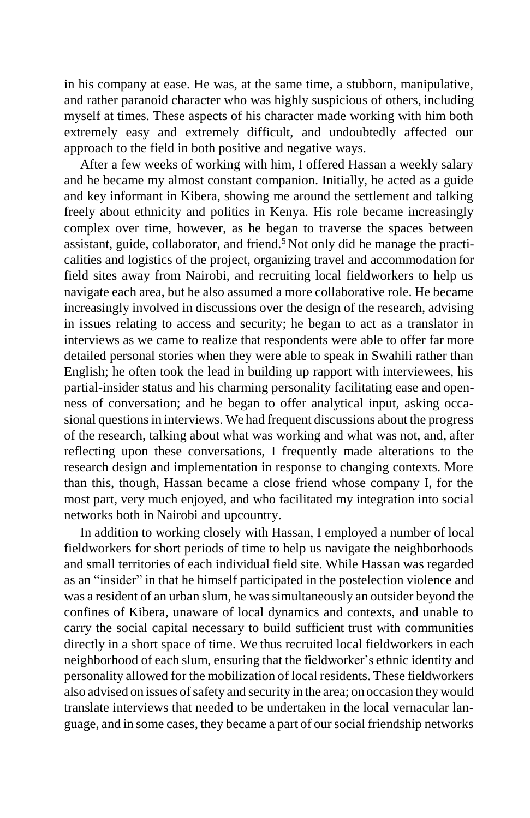in his company at ease. He was, at the same time, a stubborn, manipulative, and rather paranoid character who was highly suspicious of others, including myself at times. These aspects of his character made working with him both extremely easy and extremely difficult, and undoubtedly affected our approach to the field in both positive and negative ways.

After a few weeks of working with him, I offered Hassan a weekly salary and he became my almost constant companion. Initially, he acted as a guide and key informant in Kibera, showing me around the settlement and talking freely about ethnicity and politics in Kenya. His role became increasingly complex over time, however, as he began to traverse the spaces between assistant, guide, collaborator, and friend.<sup>5</sup> Not only did he manage the practicalities and logistics of the project, organizing travel and accommodation for field sites away from Nairobi, and recruiting local fieldworkers to help us navigate each area, but he also assumed a more collaborative role. He became increasingly involved in discussions over the design of the research, advising in issues relating to access and security; he began to act as a translator in interviews as we came to realize that respondents were able to offer far more detailed personal stories when they were able to speak in Swahili rather than English; he often took the lead in building up rapport with interviewees, his partial-insider status and his charming personality facilitating ease and openness of conversation; and he began to offer analytical input, asking occasional questions in interviews. We had frequent discussions about the progress of the research, talking about what was working and what was not, and, after reflecting upon these conversations, I frequently made alterations to the research design and implementation in response to changing contexts. More than this, though, Hassan became a close friend whose company I, for the most part, very much enjoyed, and who facilitated my integration into social networks both in Nairobi and upcountry.

In addition to working closely with Hassan, I employed a number of local fieldworkers for short periods of time to help us navigate the neighborhoods and small territories of each individual field site. While Hassan was regarded as an "insider" in that he himself participated in the postelection violence and was a resident of an urban slum, he was simultaneously an outsider beyond the confines of Kibera, unaware of local dynamics and contexts, and unable to carry the social capital necessary to build sufficient trust with communities directly in a short space of time. We thus recruited local fieldworkers in each neighborhood of each slum, ensuring that the fieldworker's ethnic identity and personality allowed for the mobilization of local residents. These fieldworkers also advised on issues of safety and security in the area; on occasion they would translate interviews that needed to be undertaken in the local vernacular language, and in some cases, they became a part of oursocial friendship networks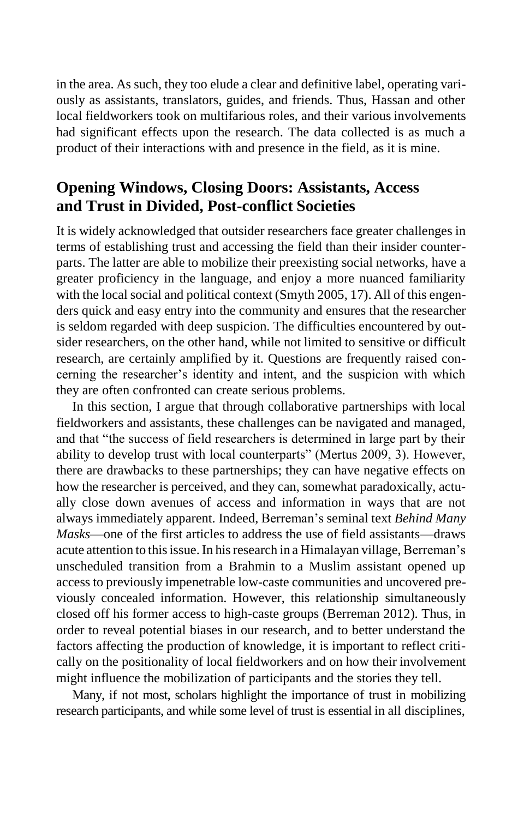in the area. As such, they too elude a clear and definitive label, operating variously as assistants, translators, guides, and friends. Thus, Hassan and other local fieldworkers took on multifarious roles, and their various involvements had significant effects upon the research. The data collected is as much a product of their interactions with and presence in the field, as it is mine.

### **Opening Windows, Closing Doors: Assistants, Access and Trust in Divided, Post-conflict Societies**

It is widely acknowledged that outsider researchers face greater challenges in terms of establishing trust and accessing the field than their insider counterparts. The latter are able to mobilize their preexisting social networks, have a greater proficiency in the language, and enjoy a more nuanced familiarity with the local social and political context (Smyth 2005, 17). All of this engenders quick and easy entry into the community and ensures that the researcher is seldom regarded with deep suspicion. The difficulties encountered by outsider researchers, on the other hand, while not limited to sensitive or difficult research, are certainly amplified by it. Questions are frequently raised concerning the researcher's identity and intent, and the suspicion with which they are often confronted can create serious problems.

In this section, I argue that through collaborative partnerships with local fieldworkers and assistants, these challenges can be navigated and managed, and that "the success of field researchers is determined in large part by their ability to develop trust with local counterparts" (Mertus 2009, 3). However, there are drawbacks to these partnerships; they can have negative effects on how the researcher is perceived, and they can, somewhat paradoxically, actually close down avenues of access and information in ways that are not always immediately apparent. Indeed, Berreman's seminal text *Behind Many Masks*—one of the first articles to address the use of field assistants—draws acute attention to thisissue.In hisresearch in a Himalayan village, Berreman's unscheduled transition from a Brahmin to a Muslim assistant opened up access to previously impenetrable low-caste communities and uncovered previously concealed information. However, this relationship simultaneously closed off his former access to high-caste groups (Berreman 2012). Thus, in order to reveal potential biases in our research, and to better understand the factors affecting the production of knowledge, it is important to reflect critically on the positionality of local fieldworkers and on how their involvement might influence the mobilization of participants and the stories they tell.

Many, if not most, scholars highlight the importance of trust in mobilizing research participants, and while some level of trust is essential in all disciplines,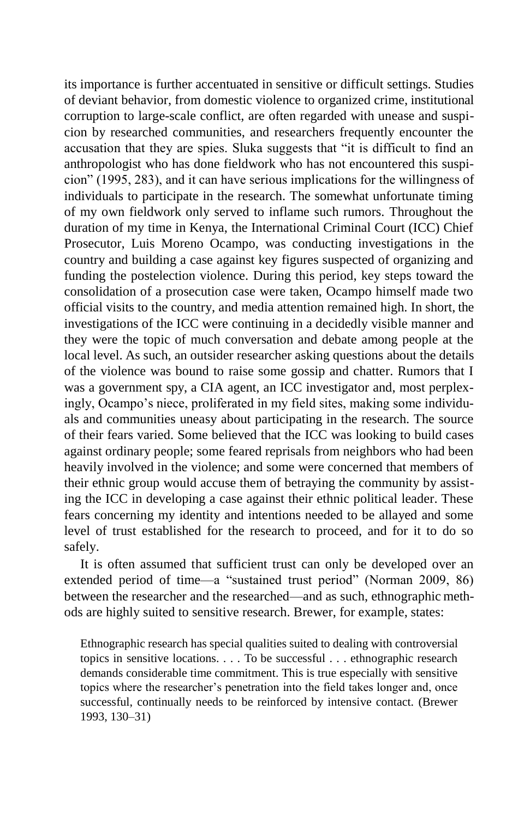its importance is further accentuated in sensitive or difficult settings. Studies of deviant behavior, from domestic violence to organized crime, institutional corruption to large-scale conflict, are often regarded with unease and suspicion by researched communities, and researchers frequently encounter the accusation that they are spies. Sluka suggests that "it is difficult to find an anthropologist who has done fieldwork who has not encountered this suspicion" (1995, 283), and it can have serious implications for the willingness of individuals to participate in the research. The somewhat unfortunate timing of my own fieldwork only served to inflame such rumors. Throughout the duration of my time in Kenya, the International Criminal Court (ICC) Chief Prosecutor, Luis Moreno Ocampo, was conducting investigations in the country and building a case against key figures suspected of organizing and funding the postelection violence. During this period, key steps toward the consolidation of a prosecution case were taken, Ocampo himself made two official visits to the country, and media attention remained high. In short, the investigations of the ICC were continuing in a decidedly visible manner and they were the topic of much conversation and debate among people at the local level. As such, an outsider researcher asking questions about the details of the violence was bound to raise some gossip and chatter. Rumors that I was a government spy, a CIA agent, an ICC investigator and, most perplexingly, Ocampo's niece, proliferated in my field sites, making some individuals and communities uneasy about participating in the research. The source of their fears varied. Some believed that the ICC was looking to build cases against ordinary people; some feared reprisals from neighbors who had been heavily involved in the violence; and some were concerned that members of their ethnic group would accuse them of betraying the community by assisting the ICC in developing a case against their ethnic political leader. These fears concerning my identity and intentions needed to be allayed and some level of trust established for the research to proceed, and for it to do so safely.

It is often assumed that sufficient trust can only be developed over an extended period of time—a "sustained trust period" (Norman 2009, 86) between the researcher and the researched—and as such, ethnographic methods are highly suited to sensitive research. Brewer, for example, states:

Ethnographic research has special qualities suited to dealing with controversial topics in sensitive locations. . . . To be successful . . . ethnographic research demands considerable time commitment. This is true especially with sensitive topics where the researcher's penetration into the field takes longer and, once successful, continually needs to be reinforced by intensive contact. (Brewer 1993, 130–31)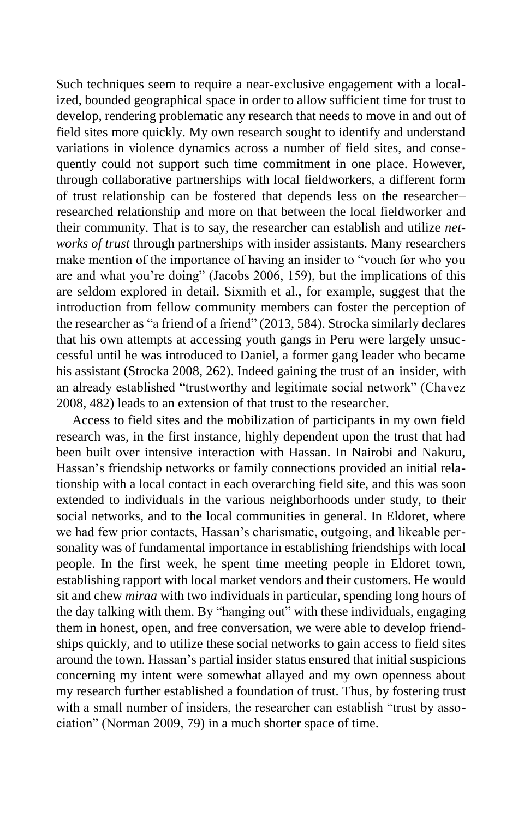Such techniques seem to require a near-exclusive engagement with a localized, bounded geographical space in order to allow sufficient time for trust to develop, rendering problematic any research that needs to move in and out of field sites more quickly. My own research sought to identify and understand variations in violence dynamics across a number of field sites, and consequently could not support such time commitment in one place. However, through collaborative partnerships with local fieldworkers, a different form of trust relationship can be fostered that depends less on the researcher– researched relationship and more on that between the local fieldworker and their community. That is to say, the researcher can establish and utilize *networks of trust* through partnerships with insider assistants. Many researchers make mention of the importance of having an insider to "vouch for who you are and what you're doing" (Jacobs 2006, 159), but the implications of this are seldom explored in detail. Sixmith et al., for example, suggest that the introduction from fellow community members can foster the perception of the researcher as "a friend of a friend" (2013, 584). Strocka similarly declares that his own attempts at accessing youth gangs in Peru were largely unsuccessful until he was introduced to Daniel, a former gang leader who became his assistant (Strocka 2008, 262). Indeed gaining the trust of an insider, with an already established "trustworthy and legitimate social network" (Chavez 2008, 482) leads to an extension of that trust to the researcher.

Access to field sites and the mobilization of participants in my own field research was, in the first instance, highly dependent upon the trust that had been built over intensive interaction with Hassan. In Nairobi and Nakuru, Hassan's friendship networks or family connections provided an initial relationship with a local contact in each overarching field site, and this was soon extended to individuals in the various neighborhoods under study, to their social networks, and to the local communities in general. In Eldoret, where we had few prior contacts, Hassan's charismatic, outgoing, and likeable personality was of fundamental importance in establishing friendships with local people. In the first week, he spent time meeting people in Eldoret town, establishing rapport with local market vendors and their customers. He would sit and chew *miraa* with two individuals in particular, spending long hours of the day talking with them. By "hanging out" with these individuals, engaging them in honest, open, and free conversation, we were able to develop friendships quickly, and to utilize these social networks to gain access to field sites around the town. Hassan's partial insider status ensured that initial suspicions concerning my intent were somewhat allayed and my own openness about my research further established a foundation of trust. Thus, by fostering trust with a small number of insiders, the researcher can establish "trust by association" (Norman 2009, 79) in a much shorter space of time.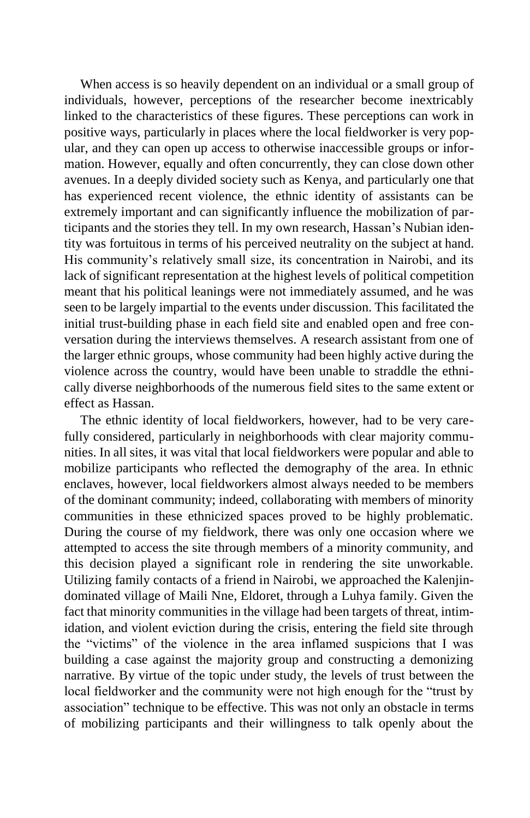When access is so heavily dependent on an individual or a small group of individuals, however, perceptions of the researcher become inextricably linked to the characteristics of these figures. These perceptions can work in positive ways, particularly in places where the local fieldworker is very popular, and they can open up access to otherwise inaccessible groups or information. However, equally and often concurrently, they can close down other avenues. In a deeply divided society such as Kenya, and particularly one that has experienced recent violence, the ethnic identity of assistants can be extremely important and can significantly influence the mobilization of participants and the stories they tell. In my own research, Hassan's Nubian identity was fortuitous in terms of his perceived neutrality on the subject at hand. His community's relatively small size, its concentration in Nairobi, and its lack of significant representation at the highest levels of political competition meant that his political leanings were not immediately assumed, and he was seen to be largely impartial to the events under discussion. This facilitated the initial trust-building phase in each field site and enabled open and free conversation during the interviews themselves. A research assistant from one of the larger ethnic groups, whose community had been highly active during the violence across the country, would have been unable to straddle the ethnically diverse neighborhoods of the numerous field sites to the same extent or effect as Hassan.

The ethnic identity of local fieldworkers, however, had to be very carefully considered, particularly in neighborhoods with clear majority communities. In all sites, it was vital that local fieldworkers were popular and able to mobilize participants who reflected the demography of the area. In ethnic enclaves, however, local fieldworkers almost always needed to be members of the dominant community; indeed, collaborating with members of minority communities in these ethnicized spaces proved to be highly problematic. During the course of my fieldwork, there was only one occasion where we attempted to access the site through members of a minority community, and this decision played a significant role in rendering the site unworkable. Utilizing family contacts of a friend in Nairobi, we approached the Kalenjindominated village of Maili Nne, Eldoret, through a Luhya family. Given the fact that minority communities in the village had been targets of threat, intimidation, and violent eviction during the crisis, entering the field site through the "victims" of the violence in the area inflamed suspicions that I was building a case against the majority group and constructing a demonizing narrative. By virtue of the topic under study, the levels of trust between the local fieldworker and the community were not high enough for the "trust by association" technique to be effective. This was not only an obstacle in terms of mobilizing participants and their willingness to talk openly about the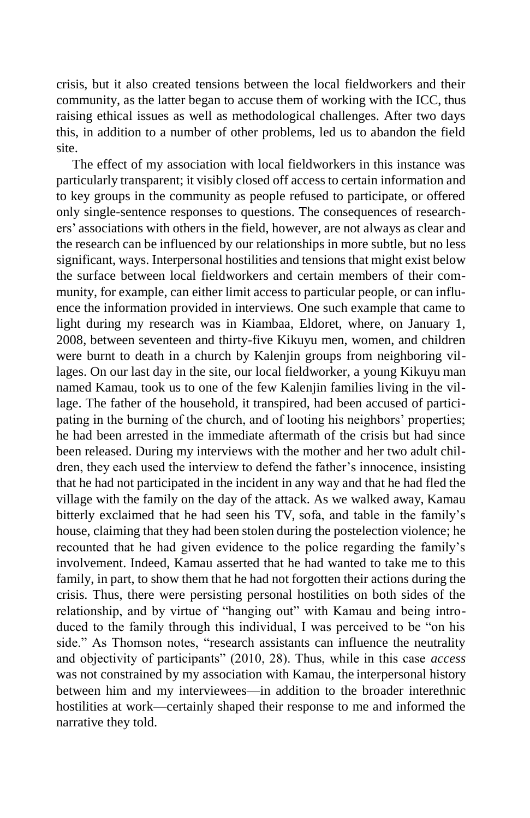crisis, but it also created tensions between the local fieldworkers and their community, as the latter began to accuse them of working with the ICC, thus raising ethical issues as well as methodological challenges. After two days this, in addition to a number of other problems, led us to abandon the field site.

The effect of my association with local fieldworkers in this instance was particularly transparent; it visibly closed off access to certain information and to key groups in the community as people refused to participate, or offered only single-sentence responses to questions. The consequences of researchers' associations with others in the field, however, are not always as clear and the research can be influenced by our relationships in more subtle, but no less significant, ways. Interpersonal hostilities and tensions that might exist below the surface between local fieldworkers and certain members of their community, for example, can either limit access to particular people, or can influence the information provided in interviews. One such example that came to light during my research was in Kiambaa, Eldoret, where, on January 1, 2008, between seventeen and thirty-five Kikuyu men, women, and children were burnt to death in a church by Kalenjin groups from neighboring villages. On our last day in the site, our local fieldworker, a young Kikuyu man named Kamau, took us to one of the few Kalenjin families living in the village. The father of the household, it transpired, had been accused of participating in the burning of the church, and of looting his neighbors' properties; he had been arrested in the immediate aftermath of the crisis but had since been released. During my interviews with the mother and her two adult children, they each used the interview to defend the father's innocence, insisting that he had not participated in the incident in any way and that he had fled the village with the family on the day of the attack. As we walked away, Kamau bitterly exclaimed that he had seen his TV, sofa, and table in the family's house, claiming that they had been stolen during the postelection violence; he recounted that he had given evidence to the police regarding the family's involvement. Indeed, Kamau asserted that he had wanted to take me to this family, in part, to show them that he had not forgotten their actions during the crisis. Thus, there were persisting personal hostilities on both sides of the relationship, and by virtue of "hanging out" with Kamau and being introduced to the family through this individual, I was perceived to be "on his side." As Thomson notes, "research assistants can influence the neutrality and objectivity of participants" (2010, 28). Thus, while in this case *access*  was not constrained by my association with Kamau, the interpersonal history between him and my interviewees—in addition to the broader interethnic hostilities at work—certainly shaped their response to me and informed the narrative they told.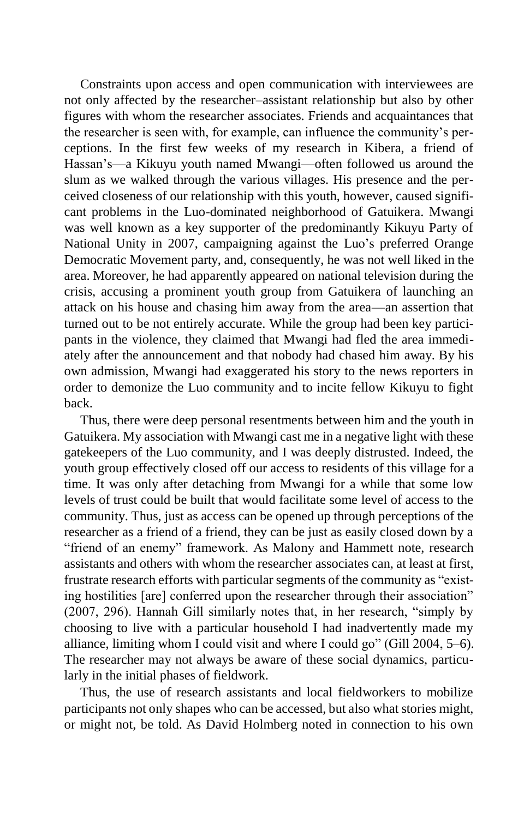Constraints upon access and open communication with interviewees are not only affected by the researcher–assistant relationship but also by other figures with whom the researcher associates. Friends and acquaintances that the researcher is seen with, for example, can influence the community's perceptions. In the first few weeks of my research in Kibera, a friend of Hassan's—a Kikuyu youth named Mwangi—often followed us around the slum as we walked through the various villages. His presence and the perceived closeness of our relationship with this youth, however, caused significant problems in the Luo-dominated neighborhood of Gatuikera. Mwangi was well known as a key supporter of the predominantly Kikuyu Party of National Unity in 2007, campaigning against the Luo's preferred Orange Democratic Movement party, and, consequently, he was not well liked in the area. Moreover, he had apparently appeared on national television during the crisis, accusing a prominent youth group from Gatuikera of launching an attack on his house and chasing him away from the area—an assertion that turned out to be not entirely accurate. While the group had been key participants in the violence, they claimed that Mwangi had fled the area immediately after the announcement and that nobody had chased him away. By his own admission, Mwangi had exaggerated his story to the news reporters in order to demonize the Luo community and to incite fellow Kikuyu to fight back.

Thus, there were deep personal resentments between him and the youth in Gatuikera. My association with Mwangi cast me in a negative light with these gatekeepers of the Luo community, and I was deeply distrusted. Indeed, the youth group effectively closed off our access to residents of this village for a time. It was only after detaching from Mwangi for a while that some low levels of trust could be built that would facilitate some level of access to the community. Thus, just as access can be opened up through perceptions of the researcher as a friend of a friend, they can be just as easily closed down by a "friend of an enemy" framework. As Malony and Hammett note, research assistants and others with whom the researcher associates can, at least at first, frustrate research efforts with particular segments of the community as "existing hostilities [are] conferred upon the researcher through their association" (2007, 296). Hannah Gill similarly notes that, in her research, "simply by choosing to live with a particular household I had inadvertently made my alliance, limiting whom I could visit and where I could go" (Gill 2004, 5–6). The researcher may not always be aware of these social dynamics, particularly in the initial phases of fieldwork.

Thus, the use of research assistants and local fieldworkers to mobilize participants not only shapes who can be accessed, but also what stories might, or might not, be told. As David Holmberg noted in connection to his own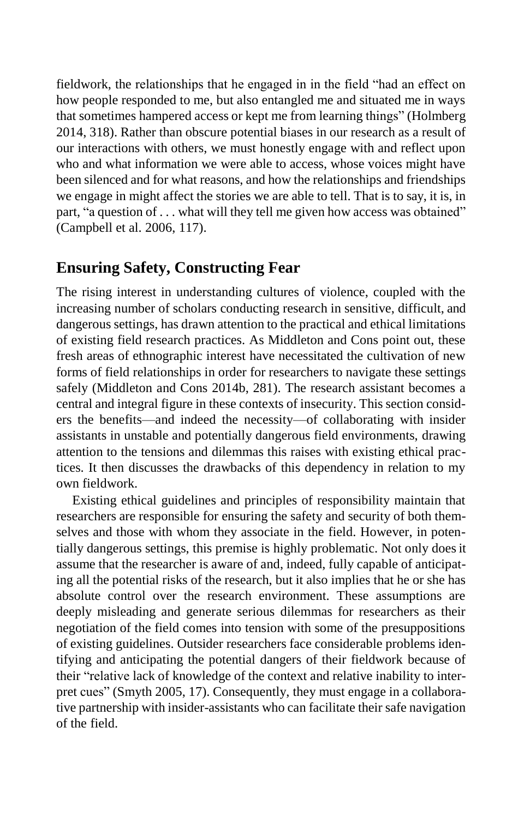fieldwork, the relationships that he engaged in in the field "had an effect on how people responded to me, but also entangled me and situated me in ways that sometimes hampered access or kept me from learning things" (Holmberg 2014, 318). Rather than obscure potential biases in our research as a result of our interactions with others, we must honestly engage with and reflect upon who and what information we were able to access, whose voices might have been silenced and for what reasons, and how the relationships and friendships we engage in might affect the stories we are able to tell. That is to say, it is, in part, "a question of . . . what will they tell me given how access was obtained" (Campbell et al. 2006, 117).

### **Ensuring Safety, Constructing Fear**

The rising interest in understanding cultures of violence, coupled with the increasing number of scholars conducting research in sensitive, difficult, and dangerous settings, has drawn attention to the practical and ethical limitations of existing field research practices. As Middleton and Cons point out, these fresh areas of ethnographic interest have necessitated the cultivation of new forms of field relationships in order for researchers to navigate these settings safely (Middleton and Cons 2014b, 281). The research assistant becomes a central and integral figure in these contexts of insecurity. This section considers the benefits—and indeed the necessity—of collaborating with insider assistants in unstable and potentially dangerous field environments, drawing attention to the tensions and dilemmas this raises with existing ethical practices. It then discusses the drawbacks of this dependency in relation to my own fieldwork.

Existing ethical guidelines and principles of responsibility maintain that researchers are responsible for ensuring the safety and security of both themselves and those with whom they associate in the field. However, in potentially dangerous settings, this premise is highly problematic. Not only doesit assume that the researcher is aware of and, indeed, fully capable of anticipating all the potential risks of the research, but it also implies that he or she has absolute control over the research environment. These assumptions are deeply misleading and generate serious dilemmas for researchers as their negotiation of the field comes into tension with some of the presuppositions of existing guidelines. Outsider researchers face considerable problems identifying and anticipating the potential dangers of their fieldwork because of their "relative lack of knowledge of the context and relative inability to interpret cues" (Smyth 2005, 17). Consequently, they must engage in a collaborative partnership with insider-assistants who can facilitate their safe navigation of the field.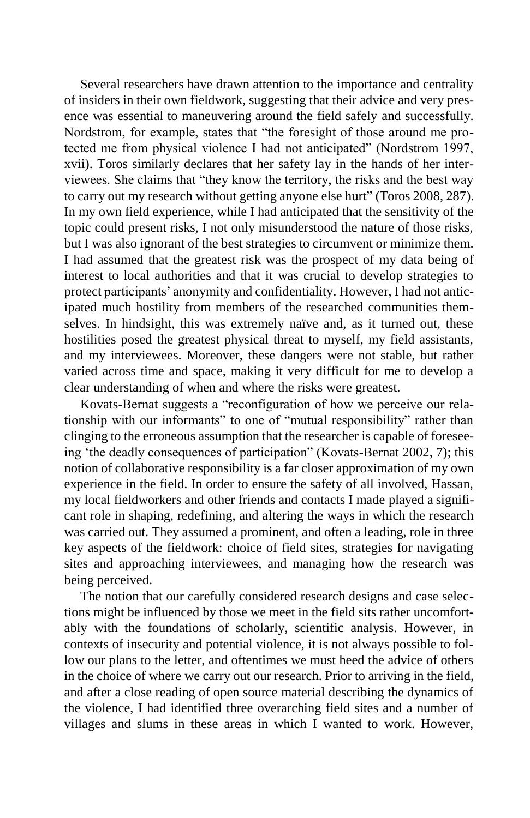Several researchers have drawn attention to the importance and centrality of insiders in their own fieldwork, suggesting that their advice and very presence was essential to maneuvering around the field safely and successfully. Nordstrom, for example, states that "the foresight of those around me protected me from physical violence I had not anticipated" (Nordstrom 1997, xvii). Toros similarly declares that her safety lay in the hands of her interviewees. She claims that "they know the territory, the risks and the best way to carry out my research without getting anyone else hurt" (Toros 2008, 287). In my own field experience, while I had anticipated that the sensitivity of the topic could present risks, I not only misunderstood the nature of those risks, but I was also ignorant of the best strategies to circumvent or minimize them. I had assumed that the greatest risk was the prospect of my data being of interest to local authorities and that it was crucial to develop strategies to protect participants' anonymity and confidentiality. However, I had not anticipated much hostility from members of the researched communities themselves. In hindsight, this was extremely naïve and, as it turned out, these hostilities posed the greatest physical threat to myself, my field assistants, and my interviewees. Moreover, these dangers were not stable, but rather varied across time and space, making it very difficult for me to develop a clear understanding of when and where the risks were greatest.

Kovats-Bernat suggests a "reconfiguration of how we perceive our relationship with our informants" to one of "mutual responsibility" rather than clinging to the erroneous assumption that the researcher is capable of foreseeing 'the deadly consequences of participation" (Kovats-Bernat 2002, 7); this notion of collaborative responsibility is a far closer approximation of my own experience in the field. In order to ensure the safety of all involved, Hassan, my local fieldworkers and other friends and contacts I made played a significant role in shaping, redefining, and altering the ways in which the research was carried out. They assumed a prominent, and often a leading, role in three key aspects of the fieldwork: choice of field sites, strategies for navigating sites and approaching interviewees, and managing how the research was being perceived.

The notion that our carefully considered research designs and case selections might be influenced by those we meet in the field sits rather uncomfortably with the foundations of scholarly, scientific analysis. However, in contexts of insecurity and potential violence, it is not always possible to follow our plans to the letter, and oftentimes we must heed the advice of others in the choice of where we carry out our research. Prior to arriving in the field, and after a close reading of open source material describing the dynamics of the violence, I had identified three overarching field sites and a number of villages and slums in these areas in which I wanted to work. However,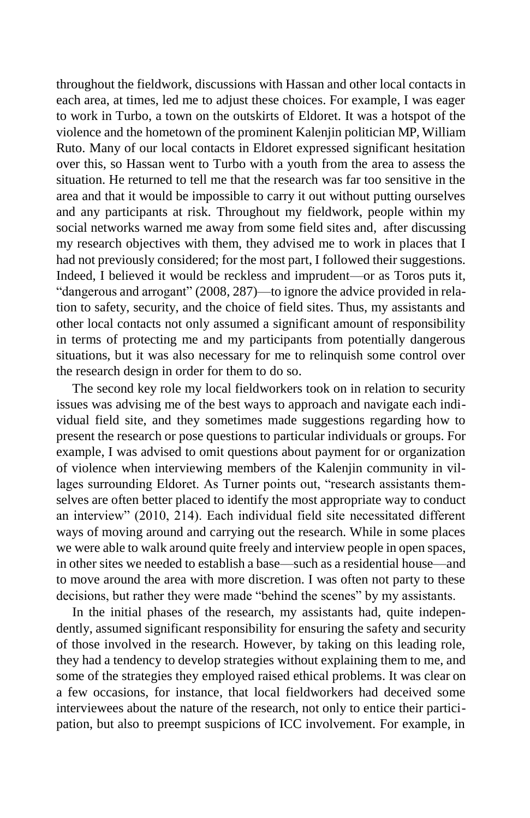throughout the fieldwork, discussions with Hassan and other local contacts in each area, at times, led me to adjust these choices. For example, I was eager to work in Turbo, a town on the outskirts of Eldoret. It was a hotspot of the violence and the hometown of the prominent Kalenjin politician MP, William Ruto. Many of our local contacts in Eldoret expressed significant hesitation over this, so Hassan went to Turbo with a youth from the area to assess the situation. He returned to tell me that the research was far too sensitive in the area and that it would be impossible to carry it out without putting ourselves and any participants at risk. Throughout my fieldwork, people within my social networks warned me away from some field sites and, after discussing my research objectives with them, they advised me to work in places that I had not previously considered; for the most part, I followed their suggestions. Indeed, I believed it would be reckless and imprudent—or as Toros puts it, "dangerous and arrogant" (2008, 287)—to ignore the advice provided in relation to safety, security, and the choice of field sites. Thus, my assistants and other local contacts not only assumed a significant amount of responsibility in terms of protecting me and my participants from potentially dangerous situations, but it was also necessary for me to relinquish some control over the research design in order for them to do so.

The second key role my local fieldworkers took on in relation to security issues was advising me of the best ways to approach and navigate each individual field site, and they sometimes made suggestions regarding how to present the research or pose questions to particular individuals or groups. For example, I was advised to omit questions about payment for or organization of violence when interviewing members of the Kalenjin community in villages surrounding Eldoret. As Turner points out, "research assistants themselves are often better placed to identify the most appropriate way to conduct an interview" (2010, 214). Each individual field site necessitated different ways of moving around and carrying out the research. While in some places we were able to walk around quite freely and interview people in open spaces, in other sites we needed to establish a base—such as a residential house—and to move around the area with more discretion. I was often not party to these decisions, but rather they were made "behind the scenes" by my assistants.

In the initial phases of the research, my assistants had, quite independently, assumed significant responsibility for ensuring the safety and security of those involved in the research. However, by taking on this leading role, they had a tendency to develop strategies without explaining them to me, and some of the strategies they employed raised ethical problems. It was clear on a few occasions, for instance, that local fieldworkers had deceived some interviewees about the nature of the research, not only to entice their participation, but also to preempt suspicions of ICC involvement. For example, in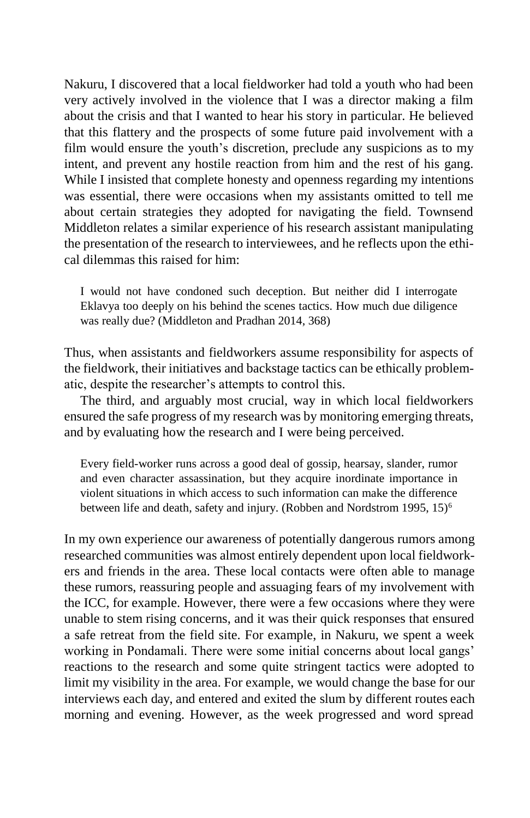Nakuru, I discovered that a local fieldworker had told a youth who had been very actively involved in the violence that I was a director making a film about the crisis and that I wanted to hear his story in particular. He believed that this flattery and the prospects of some future paid involvement with a film would ensure the youth's discretion, preclude any suspicions as to my intent, and prevent any hostile reaction from him and the rest of his gang. While I insisted that complete honesty and openness regarding my intentions was essential, there were occasions when my assistants omitted to tell me about certain strategies they adopted for navigating the field. Townsend Middleton relates a similar experience of his research assistant manipulating the presentation of the research to interviewees, and he reflects upon the ethical dilemmas this raised for him:

I would not have condoned such deception. But neither did I interrogate Eklavya too deeply on his behind the scenes tactics. How much due diligence was really due? (Middleton and Pradhan 2014, 368)

Thus, when assistants and fieldworkers assume responsibility for aspects of the fieldwork, their initiatives and backstage tactics can be ethically problematic, despite the researcher's attempts to control this.

The third, and arguably most crucial, way in which local fieldworkers ensured the safe progress of my research was by monitoring emerging threats, and by evaluating how the research and I were being perceived.

Every field-worker runs across a good deal of gossip, hearsay, slander, rumor and even character assassination, but they acquire inordinate importance in violent situations in which access to such information can make the difference between life and death, safety and injury. (Robben and Nordstrom 1995, 15)<sup>6</sup>

In my own experience our awareness of potentially dangerous rumors among researched communities was almost entirely dependent upon local fieldworkers and friends in the area. These local contacts were often able to manage these rumors, reassuring people and assuaging fears of my involvement with the ICC, for example. However, there were a few occasions where they were unable to stem rising concerns, and it was their quick responses that ensured a safe retreat from the field site. For example, in Nakuru, we spent a week working in Pondamali. There were some initial concerns about local gangs' reactions to the research and some quite stringent tactics were adopted to limit my visibility in the area. For example, we would change the base for our interviews each day, and entered and exited the slum by different routes each morning and evening. However, as the week progressed and word spread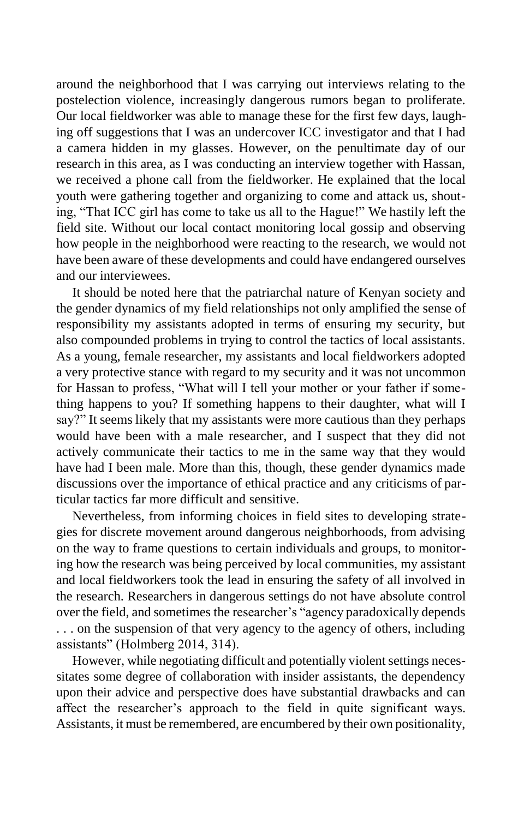around the neighborhood that I was carrying out interviews relating to the postelection violence, increasingly dangerous rumors began to proliferate. Our local fieldworker was able to manage these for the first few days, laughing off suggestions that I was an undercover ICC investigator and that I had a camera hidden in my glasses. However, on the penultimate day of our research in this area, as I was conducting an interview together with Hassan, we received a phone call from the fieldworker. He explained that the local youth were gathering together and organizing to come and attack us, shouting, "That ICC girl has come to take us all to the Hague!" We hastily left the field site. Without our local contact monitoring local gossip and observing how people in the neighborhood were reacting to the research, we would not have been aware of these developments and could have endangered ourselves and our interviewees.

It should be noted here that the patriarchal nature of Kenyan society and the gender dynamics of my field relationships not only amplified the sense of responsibility my assistants adopted in terms of ensuring my security, but also compounded problems in trying to control the tactics of local assistants. As a young, female researcher, my assistants and local fieldworkers adopted a very protective stance with regard to my security and it was not uncommon for Hassan to profess, "What will I tell your mother or your father if something happens to you? If something happens to their daughter, what will I say?" It seems likely that my assistants were more cautious than they perhaps would have been with a male researcher, and I suspect that they did not actively communicate their tactics to me in the same way that they would have had I been male. More than this, though, these gender dynamics made discussions over the importance of ethical practice and any criticisms of particular tactics far more difficult and sensitive.

Nevertheless, from informing choices in field sites to developing strategies for discrete movement around dangerous neighborhoods, from advising on the way to frame questions to certain individuals and groups, to monitoring how the research was being perceived by local communities, my assistant and local fieldworkers took the lead in ensuring the safety of all involved in the research. Researchers in dangerous settings do not have absolute control over the field, and sometimes the researcher's "agency paradoxically depends . . . on the suspension of that very agency to the agency of others, including assistants" (Holmberg 2014, 314).

However, while negotiating difficult and potentially violent settings necessitates some degree of collaboration with insider assistants, the dependency upon their advice and perspective does have substantial drawbacks and can affect the researcher's approach to the field in quite significant ways. Assistants, it must be remembered, are encumbered by their own positionality,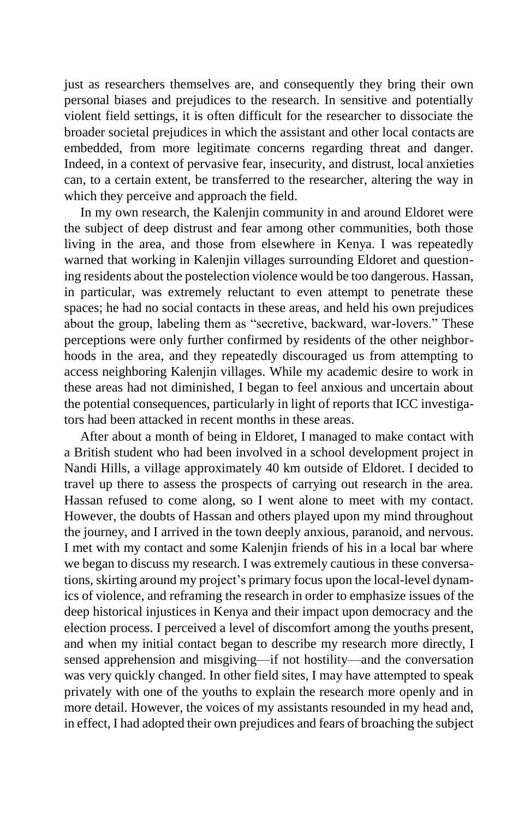just as researchers themselves are, and consequently they bring their own personal biases and prejudices to the research. In sensitive and potentially violent field settings, it is often difficult for the researcher to dissociate the broader societal prejudices in which the assistant and other local contacts are embedded, from more legitimate concerns regarding threat and danger. Indeed, in a context of pervasive fear, insecurity, and distrust, local anxieties can, to a certain extent, be transferred to the researcher, altering the way in which they perceive and approach the field.

In my own research, the Kalenjin community in and around Eldoret were the subject of deep distrust and fear among other communities, both those living in the area, and those from elsewhere in Kenya. I was repeatedly warned that working in Kalenjin villages surrounding Eldoret and questioning residents about the postelection violence would be too dangerous. Hassan, in particular, was extremely reluctant to even attempt to penetrate these spaces; he had no social contacts in these areas, and held his own prejudices about the group, labeling them as "secretive, backward, war-lovers." These perceptions were only further confirmed by residents of the other neighborhoods in the area, and they repeatedly discouraged us from attempting to access neighboring Kalenjin villages. While my academic desire to work in these areas had not diminished, I began to feel anxious and uncertain about the potential consequences, particularly in light of reports that ICC investigators had been attacked in recent months in these areas.

After about a month of being in Eldoret, I managed to make contact with a British student who had been involved in a school development project in Nandi Hills, a village approximately 40 km outside of Eldoret. I decided to travel up there to assess the prospects of carrying out research in the area. Hassan refused to come along, so I went alone to meet with my contact. However, the doubts of Hassan and others played upon my mind throughout the journey, and I arrived in the town deeply anxious, paranoid, and nervous. I met with my contact and some Kalenjin friends of his in a local bar where we began to discuss my research. I was extremely cautious in these conversations, skirting around my project's primary focus upon the local-level dynamics of violence, and reframing the research in order to emphasize issues of the deep historical injustices in Kenya and their impact upon democracy and the election process. I perceived a level of discomfort among the youths present, and when my initial contact began to describe my research more directly, I sensed apprehension and misgiving—if not hostility—and the conversation was very quickly changed. In other field sites, I may have attempted to speak privately with one of the youths to explain the research more openly and in more detail. However, the voices of my assistants resounded in my head and, in effect, I had adopted their own prejudices and fears of broaching the subject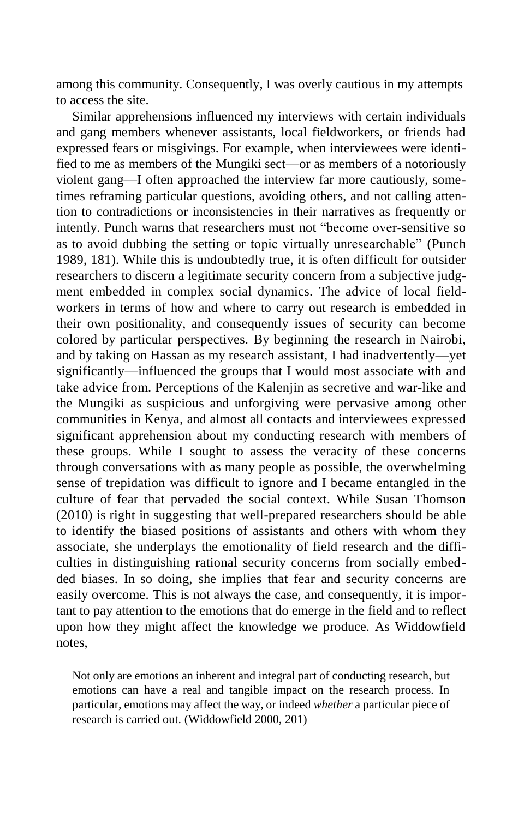among this community. Consequently, I was overly cautious in my attempts to access the site.

Similar apprehensions influenced my interviews with certain individuals and gang members whenever assistants, local fieldworkers, or friends had expressed fears or misgivings. For example, when interviewees were identified to me as members of the Mungiki sect—or as members of a notoriously violent gang—I often approached the interview far more cautiously, sometimes reframing particular questions, avoiding others, and not calling attention to contradictions or inconsistencies in their narratives as frequently or intently. Punch warns that researchers must not "become over-sensitive so as to avoid dubbing the setting or topic virtually unresearchable" (Punch 1989, 181). While this is undoubtedly true, it is often difficult for outsider researchers to discern a legitimate security concern from a subjective judgment embedded in complex social dynamics. The advice of local fieldworkers in terms of how and where to carry out research is embedded in their own positionality, and consequently issues of security can become colored by particular perspectives. By beginning the research in Nairobi, and by taking on Hassan as my research assistant, I had inadvertently—yet significantly—influenced the groups that I would most associate with and take advice from. Perceptions of the Kalenjin as secretive and war-like and the Mungiki as suspicious and unforgiving were pervasive among other communities in Kenya, and almost all contacts and interviewees expressed significant apprehension about my conducting research with members of these groups. While I sought to assess the veracity of these concerns through conversations with as many people as possible, the overwhelming sense of trepidation was difficult to ignore and I became entangled in the culture of fear that pervaded the social context. While Susan Thomson (2010) is right in suggesting that well-prepared researchers should be able to identify the biased positions of assistants and others with whom they associate, she underplays the emotionality of field research and the difficulties in distinguishing rational security concerns from socially embedded biases. In so doing, she implies that fear and security concerns are easily overcome. This is not always the case, and consequently, it is important to pay attention to the emotions that do emerge in the field and to reflect upon how they might affect the knowledge we produce. As Widdowfield notes,

Not only are emotions an inherent and integral part of conducting research, but emotions can have a real and tangible impact on the research process. In particular, emotions may affect the way, or indeed *whether* a particular piece of research is carried out. (Widdowfield 2000, 201)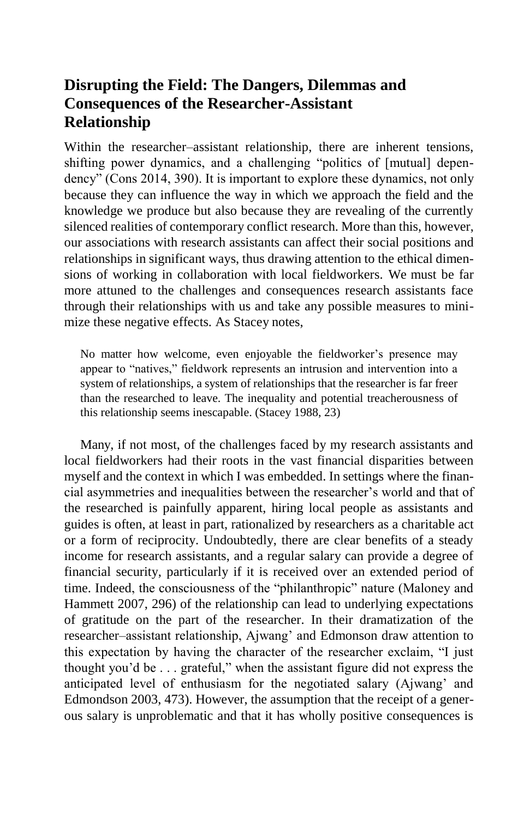# **Disrupting the Field: The Dangers, Dilemmas and Consequences of the Researcher-Assistant Relationship**

Within the researcher–assistant relationship, there are inherent tensions, shifting power dynamics, and a challenging "politics of [mutual] dependency" (Cons 2014, 390). It is important to explore these dynamics, not only because they can influence the way in which we approach the field and the knowledge we produce but also because they are revealing of the currently silenced realities of contemporary conflict research. More than this, however, our associations with research assistants can affect their social positions and relationships in significant ways, thus drawing attention to the ethical dimensions of working in collaboration with local fieldworkers. We must be far more attuned to the challenges and consequences research assistants face through their relationships with us and take any possible measures to minimize these negative effects. As Stacey notes,

No matter how welcome, even enjoyable the fieldworker's presence may appear to "natives," fieldwork represents an intrusion and intervention into a system of relationships, a system of relationships that the researcher is far freer than the researched to leave. The inequality and potential treacherousness of this relationship seems inescapable. (Stacey 1988, 23)

Many, if not most, of the challenges faced by my research assistants and local fieldworkers had their roots in the vast financial disparities between myself and the context in which I was embedded. In settings where the financial asymmetries and inequalities between the researcher's world and that of the researched is painfully apparent, hiring local people as assistants and guides is often, at least in part, rationalized by researchers as a charitable act or a form of reciprocity. Undoubtedly, there are clear benefits of a steady income for research assistants, and a regular salary can provide a degree of financial security, particularly if it is received over an extended period of time. Indeed, the consciousness of the "philanthropic" nature (Maloney and Hammett 2007, 296) of the relationship can lead to underlying expectations of gratitude on the part of the researcher. In their dramatization of the researcher–assistant relationship, Ajwang' and Edmonson draw attention to this expectation by having the character of the researcher exclaim, "I just thought you'd be . . . grateful," when the assistant figure did not express the anticipated level of enthusiasm for the negotiated salary (Ajwang' and Edmondson 2003, 473). However, the assumption that the receipt of a generous salary is unproblematic and that it has wholly positive consequences is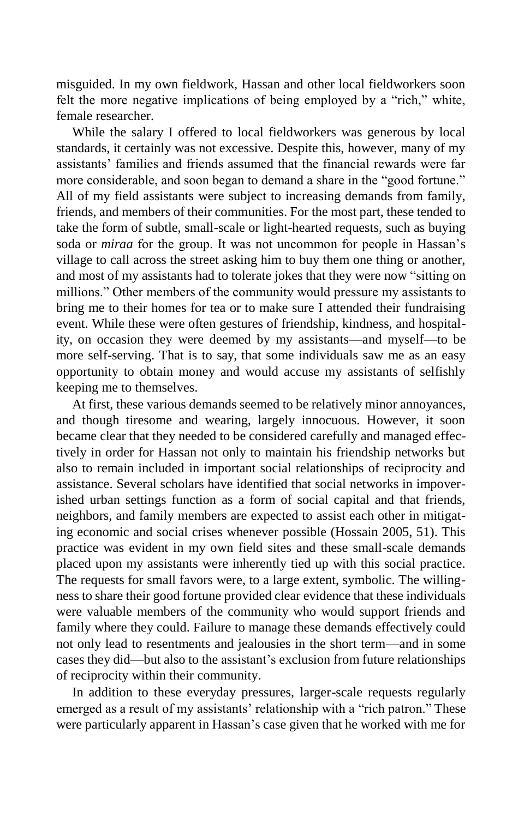misguided. In my own fieldwork, Hassan and other local fieldworkers soon felt the more negative implications of being employed by a "rich," white, female researcher.

While the salary I offered to local fieldworkers was generous by local standards, it certainly was not excessive. Despite this, however, many of my assistants' families and friends assumed that the financial rewards were far more considerable, and soon began to demand a share in the "good fortune." All of my field assistants were subject to increasing demands from family, friends, and members of their communities. For the most part, these tended to take the form of subtle, small-scale or light-hearted requests, such as buying soda or *miraa* for the group. It was not uncommon for people in Hassan's village to call across the street asking him to buy them one thing or another, and most of my assistants had to tolerate jokes that they were now "sitting on millions." Other members of the community would pressure my assistants to bring me to their homes for tea or to make sure I attended their fundraising event. While these were often gestures of friendship, kindness, and hospitality, on occasion they were deemed by my assistants—and myself—to be more self-serving. That is to say, that some individuals saw me as an easy opportunity to obtain money and would accuse my assistants of selfishly keeping me to themselves.

At first, these various demands seemed to be relatively minor annoyances, and though tiresome and wearing, largely innocuous. However, it soon became clear that they needed to be considered carefully and managed effectively in order for Hassan not only to maintain his friendship networks but also to remain included in important social relationships of reciprocity and assistance. Several scholars have identified that social networks in impoverished urban settings function as a form of social capital and that friends, neighbors, and family members are expected to assist each other in mitigating economic and social crises whenever possible (Hossain 2005, 51). This practice was evident in my own field sites and these small-scale demands placed upon my assistants were inherently tied up with this social practice. The requests for small favors were, to a large extent, symbolic. The willingness to share their good fortune provided clear evidence that these individuals were valuable members of the community who would support friends and family where they could. Failure to manage these demands effectively could not only lead to resentments and jealousies in the short term—and in some cases they did—but also to the assistant's exclusion from future relationships of reciprocity within their community.

In addition to these everyday pressures, larger-scale requests regularly emerged as a result of my assistants' relationship with a "rich patron." These were particularly apparent in Hassan's case given that he worked with me for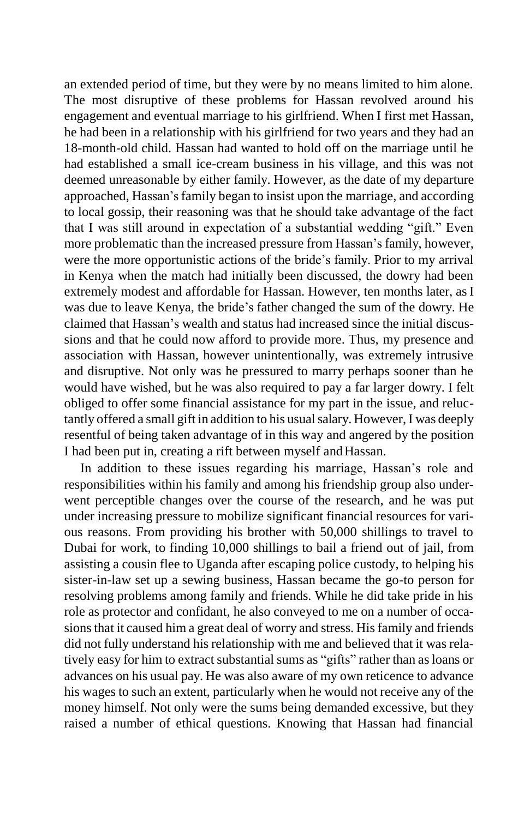an extended period of time, but they were by no means limited to him alone. The most disruptive of these problems for Hassan revolved around his engagement and eventual marriage to his girlfriend. When I first met Hassan, he had been in a relationship with his girlfriend for two years and they had an 18-month-old child. Hassan had wanted to hold off on the marriage until he had established a small ice-cream business in his village, and this was not deemed unreasonable by either family. However, as the date of my departure approached, Hassan's family began to insist upon the marriage, and according to local gossip, their reasoning was that he should take advantage of the fact that I was still around in expectation of a substantial wedding "gift." Even more problematic than the increased pressure from Hassan's family, however, were the more opportunistic actions of the bride's family. Prior to my arrival in Kenya when the match had initially been discussed, the dowry had been extremely modest and affordable for Hassan. However, ten months later, as I was due to leave Kenya, the bride's father changed the sum of the dowry. He claimed that Hassan's wealth and status had increased since the initial discussions and that he could now afford to provide more. Thus, my presence and association with Hassan, however unintentionally, was extremely intrusive and disruptive. Not only was he pressured to marry perhaps sooner than he would have wished, but he was also required to pay a far larger dowry. I felt obliged to offer some financial assistance for my part in the issue, and reluctantly offered a small gift in addition to his usual salary. However, I was deeply resentful of being taken advantage of in this way and angered by the position I had been put in, creating a rift between myself andHassan.

In addition to these issues regarding his marriage, Hassan's role and responsibilities within his family and among his friendship group also underwent perceptible changes over the course of the research, and he was put under increasing pressure to mobilize significant financial resources for various reasons. From providing his brother with 50,000 shillings to travel to Dubai for work, to finding 10,000 shillings to bail a friend out of jail, from assisting a cousin flee to Uganda after escaping police custody, to helping his sister-in-law set up a sewing business, Hassan became the go-to person for resolving problems among family and friends. While he did take pride in his role as protector and confidant, he also conveyed to me on a number of occasions that it caused him a great deal of worry and stress. His family and friends did not fully understand his relationship with me and believed that it was relatively easy for him to extract substantial sums as "gifts" rather than asloans or advances on his usual pay. He was also aware of my own reticence to advance his wages to such an extent, particularly when he would not receive any of the money himself. Not only were the sums being demanded excessive, but they raised a number of ethical questions. Knowing that Hassan had financial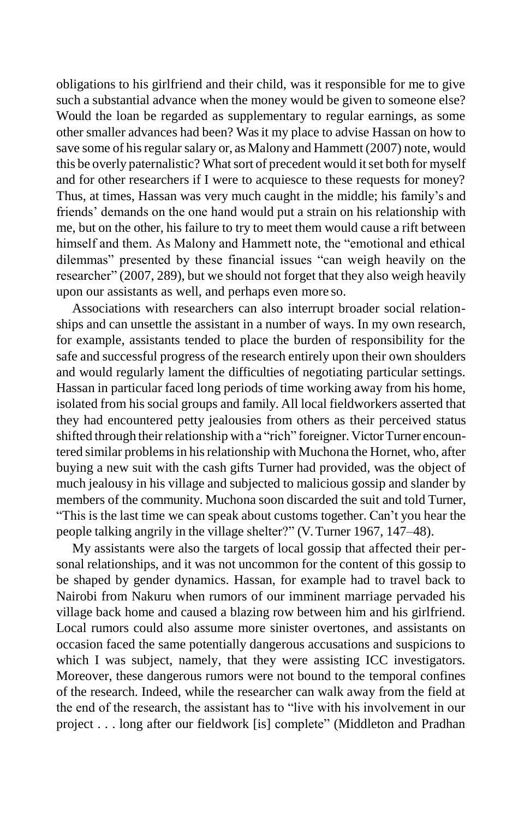obligations to his girlfriend and their child, was it responsible for me to give such a substantial advance when the money would be given to someone else? Would the loan be regarded as supplementary to regular earnings, as some other smaller advances had been? Wasit my place to advise Hassan on how to save some of his regular salary or, as Malony and Hammett (2007) note, would this be overly paternalistic? What sort of precedent would it set both for myself and for other researchers if I were to acquiesce to these requests for money? Thus, at times, Hassan was very much caught in the middle; his family's and friends' demands on the one hand would put a strain on his relationship with me, but on the other, his failure to try to meet them would cause a rift between himself and them. As Malony and Hammett note, the "emotional and ethical dilemmas" presented by these financial issues "can weigh heavily on the researcher" (2007, 289), but we should not forget that they also weigh heavily upon our assistants as well, and perhaps even more so.

Associations with researchers can also interrupt broader social relationships and can unsettle the assistant in a number of ways. In my own research, for example, assistants tended to place the burden of responsibility for the safe and successful progress of the research entirely upon their own shoulders and would regularly lament the difficulties of negotiating particular settings. Hassan in particular faced long periods of time working away from his home, isolated from his social groups and family. All local fieldworkers asserted that they had encountered petty jealousies from others as their perceived status shifted through their relationship with a "rich" foreigner. Victor Turner encountered similar problems in his relationship with Muchona the Hornet, who, after buying a new suit with the cash gifts Turner had provided, was the object of much jealousy in his village and subjected to malicious gossip and slander by members of the community. Muchona soon discarded the suit and told Turner, "This is the last time we can speak about customs together. Can't you hear the people talking angrily in the village shelter?" (V.Turner 1967, 147–48).

My assistants were also the targets of local gossip that affected their personal relationships, and it was not uncommon for the content of this gossip to be shaped by gender dynamics. Hassan, for example had to travel back to Nairobi from Nakuru when rumors of our imminent marriage pervaded his village back home and caused a blazing row between him and his girlfriend. Local rumors could also assume more sinister overtones, and assistants on occasion faced the same potentially dangerous accusations and suspicions to which I was subject, namely, that they were assisting ICC investigators. Moreover, these dangerous rumors were not bound to the temporal confines of the research. Indeed, while the researcher can walk away from the field at the end of the research, the assistant has to "live with his involvement in our project . . . long after our fieldwork [is] complete" (Middleton and Pradhan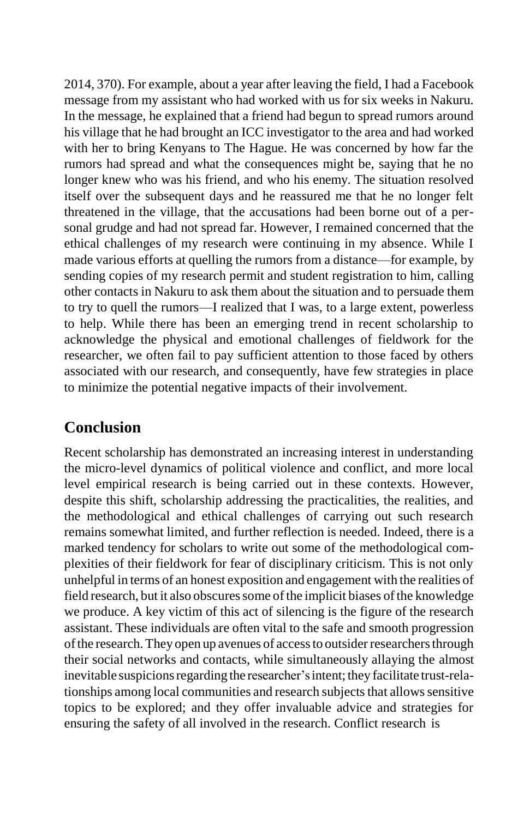2014, 370). For example, about a year after leaving the field, I had a Facebook message from my assistant who had worked with us for six weeks in Nakuru. In the message, he explained that a friend had begun to spread rumors around his village that he had brought an ICC investigator to the area and had worked with her to bring Kenyans to The Hague. He was concerned by how far the rumors had spread and what the consequences might be, saying that he no longer knew who was his friend, and who his enemy. The situation resolved itself over the subsequent days and he reassured me that he no longer felt threatened in the village, that the accusations had been borne out of a personal grudge and had not spread far. However, I remained concerned that the ethical challenges of my research were continuing in my absence. While I made various efforts at quelling the rumors from a distance—for example, by sending copies of my research permit and student registration to him, calling other contacts in Nakuru to ask them about the situation and to persuade them to try to quell the rumors—I realized that I was, to a large extent, powerless to help. While there has been an emerging trend in recent scholarship to acknowledge the physical and emotional challenges of fieldwork for the researcher, we often fail to pay sufficient attention to those faced by others associated with our research, and consequently, have few strategies in place to minimize the potential negative impacts of their involvement.

## **Conclusion**

Recent scholarship has demonstrated an increasing interest in understanding the micro-level dynamics of political violence and conflict, and more local level empirical research is being carried out in these contexts. However, despite this shift, scholarship addressing the practicalities, the realities, and the methodological and ethical challenges of carrying out such research remains somewhat limited, and further reflection is needed. Indeed, there is a marked tendency for scholars to write out some of the methodological complexities of their fieldwork for fear of disciplinary criticism. This is not only unhelpful in terms of an honest exposition and engagement with the realities of field research, but it also obscures some of the implicit biases of the knowledge we produce. A key victim of this act of silencing is the figure of the research assistant. These individuals are often vital to the safe and smooth progression of the research. They open up avenues of access to outsider researchers through their social networks and contacts, while simultaneously allaying the almost inevitable suspicions regarding the researcher's intent; they facilitate trust-relationships among local communities and research subjects that allows sensitive topics to be explored; and they offer invaluable advice and strategies for ensuring the safety of all involved in the research. Conflict research is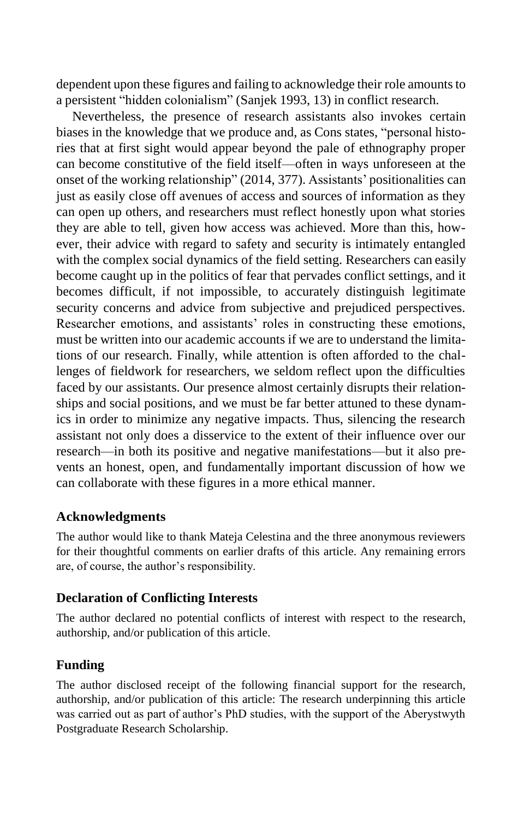dependent upon these figures and failing to acknowledge their role amounts to a persistent "hidden colonialism" (Sanjek 1993, 13) in conflict research.

Nevertheless, the presence of research assistants also invokes certain biases in the knowledge that we produce and, as Cons states, "personal histories that at first sight would appear beyond the pale of ethnography proper can become constitutive of the field itself—often in ways unforeseen at the onset of the working relationship" (2014, 377). Assistants' positionalities can just as easily close off avenues of access and sources of information as they can open up others, and researchers must reflect honestly upon what stories they are able to tell, given how access was achieved. More than this, however, their advice with regard to safety and security is intimately entangled with the complex social dynamics of the field setting. Researchers can easily become caught up in the politics of fear that pervades conflict settings, and it becomes difficult, if not impossible, to accurately distinguish legitimate security concerns and advice from subjective and prejudiced perspectives. Researcher emotions, and assistants' roles in constructing these emotions, must be written into our academic accounts if we are to understand the limitations of our research. Finally, while attention is often afforded to the challenges of fieldwork for researchers, we seldom reflect upon the difficulties faced by our assistants. Our presence almost certainly disrupts their relationships and social positions, and we must be far better attuned to these dynamics in order to minimize any negative impacts. Thus, silencing the research assistant not only does a disservice to the extent of their influence over our research—in both its positive and negative manifestations—but it also prevents an honest, open, and fundamentally important discussion of how we can collaborate with these figures in a more ethical manner.

### **Acknowledgments**

The author would like to thank Mateja Celestina and the three anonymous reviewers for their thoughtful comments on earlier drafts of this article. Any remaining errors are, of course, the author's responsibility.

### **Declaration of Conflicting Interests**

The author declared no potential conflicts of interest with respect to the research, authorship, and/or publication of this article.

### **Funding**

The author disclosed receipt of the following financial support for the research, authorship, and/or publication of this article: The research underpinning this article was carried out as part of author's PhD studies, with the support of the Aberystwyth Postgraduate Research Scholarship.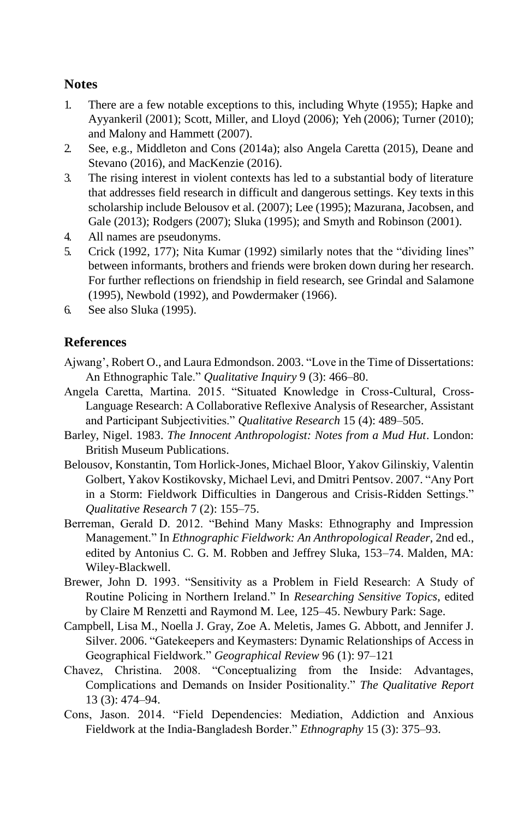### **Notes**

- 1. There are a few notable exceptions to this, including Whyte (1955); Hapke and Ayyankeril (2001); Scott, Miller, and Lloyd (2006); Yeh (2006); Turner (2010); and Malony and Hammett (2007).
- 2. See, e.g., Middleton and Cons (2014a); also Angela Caretta (2015), Deane and Stevano (2016), and MacKenzie (2016).
- 3. The rising interest in violent contexts has led to a substantial body of literature that addresses field research in difficult and dangerous settings. Key texts in this scholarship include Belousov et al. (2007); Lee (1995); Mazurana, Jacobsen, and Gale (2013); Rodgers (2007); Sluka (1995); and Smyth and Robinson (2001).
- 4. All names are pseudonyms.
- 5. Crick (1992, 177); Nita Kumar (1992) similarly notes that the "dividing lines" between informants, brothers and friends were broken down during her research. For further reflections on friendship in field research, see Grindal and Salamone (1995), Newbold (1992), and Powdermaker (1966).
- 6. See also Sluka (1995).

### **References**

- Ajwang', Robert O., and Laura Edmondson. 2003. "Love in the Time of Dissertations: An Ethnographic Tale." *Qualitative Inquiry* 9 (3): 466–80.
- Angela Caretta, Martina. 2015. "Situated Knowledge in Cross-Cultural, Cross-Language Research: A Collaborative Reflexive Analysis of Researcher, Assistant and Participant Subjectivities." *Qualitative Research* 15 (4): 489–505.
- Barley, Nigel. 1983. *The Innocent Anthropologist: Notes from a Mud Hut*. London: British Museum Publications.
- Belousov, Konstantin, Tom Horlick-Jones, Michael Bloor, Yakov Gilinskiy, Valentin Golbert, Yakov Kostikovsky, Michael Levi, and Dmitri Pentsov. 2007. "Any Port in a Storm: Fieldwork Difficulties in Dangerous and Crisis-Ridden Settings." *Qualitative Research* 7 (2): 155–75.
- Berreman, Gerald D. 2012. "Behind Many Masks: Ethnography and Impression Management." In *Ethnographic Fieldwork: An Anthropological Reader*, 2nd ed., edited by Antonius C. G. M. Robben and Jeffrey Sluka, 153–74. Malden, MA: Wiley-Blackwell.
- Brewer, John D. 1993. "Sensitivity as a Problem in Field Research: A Study of Routine Policing in Northern Ireland." In *Researching Sensitive Topics*, edited by Claire M Renzetti and Raymond M. Lee, 125–45. Newbury Park: Sage.
- Campbell, Lisa M., Noella J. Gray, Zoe A. Meletis, James G. Abbott, and Jennifer J. Silver. 2006. "Gatekeepers and Keymasters: Dynamic Relationships of Access in Geographical Fieldwork." *Geographical Review* 96 (1): 97–121
- Chavez, Christina. 2008. "Conceptualizing from the Inside: Advantages, Complications and Demands on Insider Positionality." *The Qualitative Report*  13 (3): 474–94.
- Cons, Jason. 2014. "Field Dependencies: Mediation, Addiction and Anxious Fieldwork at the India-Bangladesh Border." *Ethnography* 15 (3): 375–93.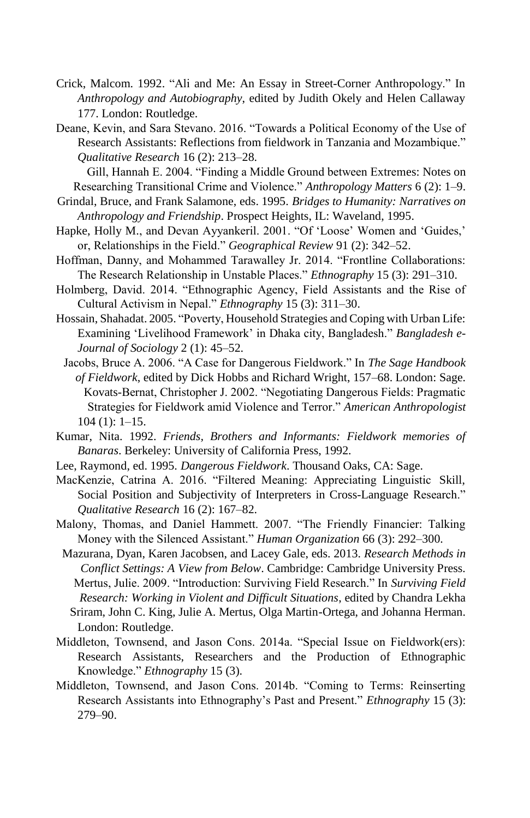- Crick, Malcom. 1992. "Ali and Me: An Essay in Street-Corner Anthropology." In *Anthropology and Autobiography*, edited by Judith Okely and Helen Callaway 177. London: Routledge.
- Deane, Kevin, and Sara Stevano. 2016. "Towards a Political Economy of the Use of Research Assistants: Reflections from fieldwork in Tanzania and Mozambique." *Qualitative Research* 16 (2): 213–28.

Gill, Hannah E. 2004. "Finding a Middle Ground between Extremes: Notes on Researching Transitional Crime and Violence." *Anthropology Matters* 6 (2): 1–9.

- Grindal, Bruce, and Frank Salamone, eds. 1995. *Bridges to Humanity: Narratives on Anthropology and Friendship*. Prospect Heights, IL: Waveland, 1995.
- Hapke, Holly M., and Devan Ayyankeril. 2001. "Of 'Loose' Women and 'Guides,' or, Relationships in the Field." *Geographical Review* 91 (2): 342–52.
- Hoffman, Danny, and Mohammed Tarawalley Jr. 2014. "Frontline Collaborations: The Research Relationship in Unstable Places." *Ethnography* 15 (3): 291–310.
- Holmberg, David. 2014. "Ethnographic Agency, Field Assistants and the Rise of Cultural Activism in Nepal." *Ethnography* 15 (3): 311–30.
- Hossain, Shahadat. 2005. "Poverty, Household Strategies and Coping with Urban Life: Examining 'Livelihood Framework' in Dhaka city, Bangladesh." *Bangladesh e-Journal of Sociology* 2 (1): 45–52.
	- Jacobs, Bruce A. 2006. "A Case for Dangerous Fieldwork." In *The Sage Handbook of Fieldwork*, edited by Dick Hobbs and Richard Wright, 157–68. London: Sage. Kovats-Bernat, Christopher J. 2002. "Negotiating Dangerous Fields: Pragmatic Strategies for Fieldwork amid Violence and Terror." *American Anthropologist* 104 (1): 1–15.
- Kumar, Nita. 1992. *Friends, Brothers and Informants: Fieldwork memories of Banaras*. Berkeley: University of California Press, 1992.
- Lee, Raymond, ed. 1995. *Dangerous Fieldwork*. Thousand Oaks, CA: Sage.
- MacKenzie, Catrina A. 2016. "Filtered Meaning: Appreciating Linguistic Skill, Social Position and Subjectivity of Interpreters in Cross-Language Research." *Qualitative Research* 16 (2): 167–82.
- Malony, Thomas, and Daniel Hammett. 2007. "The Friendly Financier: Talking Money with the Silenced Assistant." *Human Organization* 66 (3): 292–300.
- Mazurana, Dyan, Karen Jacobsen, and Lacey Gale, eds. 2013. *Research Methods in Conflict Settings: A View from Below*. Cambridge: Cambridge University Press. Mertus, Julie. 2009. "Introduction: Surviving Field Research." In *Surviving Field*

*Research: Working in Violent and Difficult Situations*, edited by Chandra Lekha Sriram, John C. King, Julie A. Mertus, Olga Martin-Ortega, and Johanna Herman.

- London: Routledge.
- Middleton, Townsend, and Jason Cons. 2014a. "Special Issue on Fieldwork(ers): Research Assistants, Researchers and the Production of Ethnographic Knowledge." *Ethnography* 15 (3).
- Middleton, Townsend, and Jason Cons. 2014b. "Coming to Terms: Reinserting Research Assistants into Ethnography's Past and Present." *Ethnography* 15 (3): 279–90.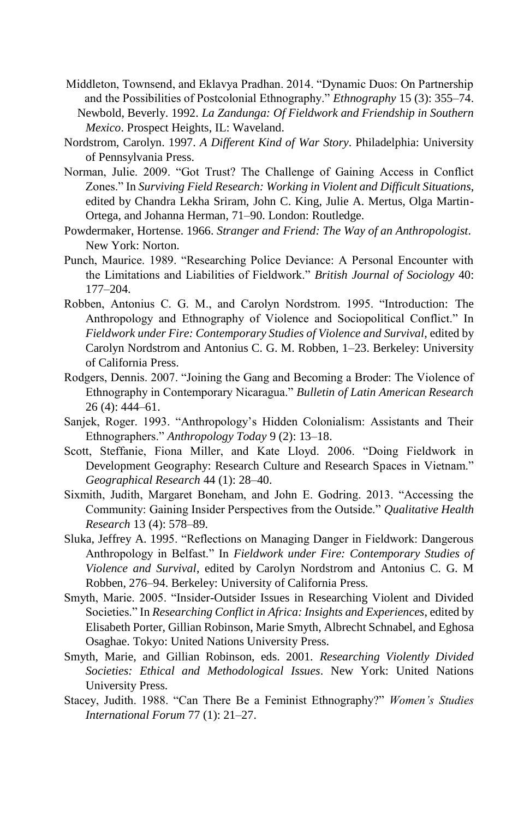- Middleton, Townsend, and Eklavya Pradhan. 2014. "Dynamic Duos: On Partnership and the Possibilities of Postcolonial Ethnography." *Ethnography* 15 (3): 355–74. Newbold, Beverly. 1992. *La Zandunga: Of Fieldwork and Friendship in Southern Mexico*. Prospect Heights, IL: Waveland.
- Nordstrom, Carolyn. 1997. *A Different Kind of War Story*. Philadelphia: University of Pennsylvania Press.
- Norman, Julie. 2009. "Got Trust? The Challenge of Gaining Access in Conflict Zones." In *Surviving Field Research: Working in Violent and Difficult Situations*, edited by Chandra Lekha Sriram, John C. King, Julie A. Mertus, Olga Martin-Ortega, and Johanna Herman, 71–90. London: Routledge.
- Powdermaker, Hortense. 1966. *Stranger and Friend: The Way of an Anthropologist*. New York: Norton.
- Punch, Maurice. 1989. "Researching Police Deviance: A Personal Encounter with the Limitations and Liabilities of Fieldwork." *British Journal of Sociology* 40: 177–204.
- Robben, Antonius C. G. M., and Carolyn Nordstrom. 1995. "Introduction: The Anthropology and Ethnography of Violence and Sociopolitical Conflict." In *Fieldwork under Fire: Contemporary Studies of Violence and Survival*, edited by Carolyn Nordstrom and Antonius C. G. M. Robben, 1–23. Berkeley: University of California Press.
- Rodgers, Dennis. 2007. "Joining the Gang and Becoming a Broder: The Violence of Ethnography in Contemporary Nicaragua." *Bulletin of Latin American Research*  26 (4): 444–61.
- Sanjek, Roger. 1993. "Anthropology's Hidden Colonialism: Assistants and Their Ethnographers." *Anthropology Today* 9 (2): 13–18.
- Scott, Steffanie, Fiona Miller, and Kate Lloyd. 2006. "Doing Fieldwork in Development Geography: Research Culture and Research Spaces in Vietnam." *Geographical Research* 44 (1): 28–40.
- Sixmith, Judith, Margaret Boneham, and John E. Godring. 2013. "Accessing the Community: Gaining Insider Perspectives from the Outside." *Qualitative Health Research* 13 (4): 578–89.
- Sluka, Jeffrey A. 1995. "Reflections on Managing Danger in Fieldwork: Dangerous Anthropology in Belfast." In *Fieldwork under Fire: Contemporary Studies of Violence and Survival*, edited by Carolyn Nordstrom and Antonius C. G. M Robben, 276–94. Berkeley: University of California Press.
- Smyth, Marie. 2005. "Insider-Outsider Issues in Researching Violent and Divided Societies." In *Researching Conflict in Africa: Insights and Experiences*, edited by Elisabeth Porter, Gillian Robinson, Marie Smyth, Albrecht Schnabel, and Eghosa Osaghae. Tokyo: United Nations University Press.
- Smyth, Marie, and Gillian Robinson, eds. 2001. *Researching Violently Divided Societies: Ethical and Methodological Issues*. New York: United Nations University Press.
- Stacey, Judith. 1988. "Can There Be a Feminist Ethnography?" *Women's Studies International Forum* 77 (1): 21–27.